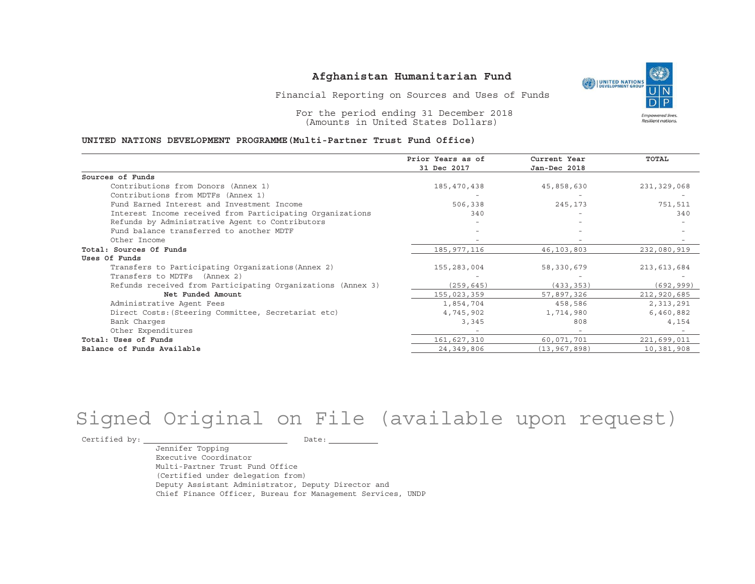UNITED NATIONS **Empowered lives** Resilient nations.

Financial Reporting on Sources and Uses of Funds

For the period ending 31 December 2018 (Amounts in United States Dollars)

#### **UNITED NATIONS DEVELOPMENT PROGRAMME(Multi-Partner Trust Fund Office)**

|                                                             | Prior Years as of | Current Year   | <b>TOTAL</b> |
|-------------------------------------------------------------|-------------------|----------------|--------------|
|                                                             | 31 Dec 2017       | Jan-Dec 2018   |              |
| Sources of Funds                                            |                   |                |              |
| Contributions from Donors (Annex 1)                         | 185,470,438       | 45,858,630     | 231,329,068  |
| Contributions from MDTFs (Annex 1)                          |                   |                |              |
| Fund Earned Interest and Investment Income                  | 506,338           | 245,173        | 751,511      |
| Interest Income received from Participating Organizations   | 340               |                | 340          |
| Refunds by Administrative Agent to Contributors             |                   |                |              |
| Fund balance transferred to another MDTF                    |                   |                |              |
| Other Income                                                |                   |                |              |
| Total: Sources Of Funds                                     | 185,977,116       | 46,103,803     | 232,080,919  |
| Uses Of Funds                                               |                   |                |              |
| Transfers to Participating Organizations (Annex 2)          | 155,283,004       | 58,330,679     | 213,613,684  |
| Transfers to MDTFs (Annex 2)                                |                   |                |              |
| Refunds received from Participating Organizations (Annex 3) | (259, 645)        | (433, 353)     | (692, 999)   |
| Net Funded Amount                                           | 155,023,359       | 57,897,326     | 212,920,685  |
| Administrative Agent Fees                                   | 1,854,704         | 458,586        | 2,313,291    |
| Direct Costs: (Steering Committee, Secretariat etc)         | 4,745,902         | 1,714,980      | 6,460,882    |
| Bank Charges                                                | 3,345             | 808            | 4,154        |
| Other Expenditures                                          |                   |                |              |
| Total: Uses of Funds                                        | 161,627,310       | 60,071,701     | 221,699,011  |
| Balance of Funds Available                                  | 24, 349, 806      | (13, 967, 898) | 10,381,908   |

# Signed Original on File (available upon request)

Certified by: Date:

Jennifer Topping Executive CoordinatorMulti-Partner Trust Fund Office(Certified under delegation from) Deputy Assistant Administrator, Deputy Director and Chief Finance Officer, Bureau for Management Services, UNDP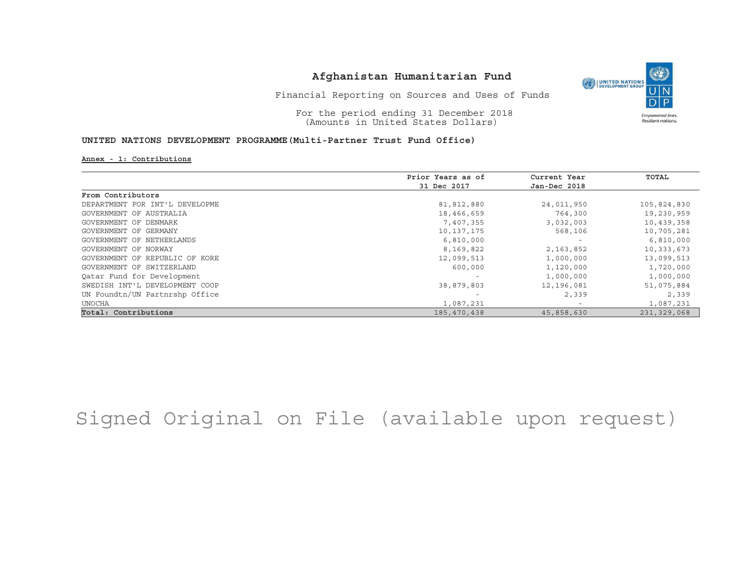

Financial Reporting on Sources and Uses of Funds

For the period ending 31 December 2018 (Amounts in United States Dollars)

#### **UNITED NATIONS DEVELOPMENT PROGRAMME(Multi-Partner Trust Fund Office)**

**Annex - 1: Contributions**

|                                | Prior Years as of | Current Year | TOTAL       |
|--------------------------------|-------------------|--------------|-------------|
|                                | 31 Dec 2017       | Jan-Dec 2018 |             |
| From Contributors              |                   |              |             |
| DEPARTMENT FOR INT'L DEVELOPME | 81,812,880        | 24,011,950   | 105,824,830 |
| GOVERNMENT OF AUSTRALIA        | 18,466,659        | 764,300      | 19,230,959  |
| GOVERNMENT OF DENMARK          | 7,407,355         | 3,032,003    | 10,439,358  |
| GOVERNMENT OF GERMANY          | 10,137,175        | 568,106      | 10,705,281  |
| GOVERNMENT OF NETHERLANDS      | 6,810,000         |              | 6,810,000   |
| GOVERNMENT OF NORWAY           | 8,169,822         | 2,163,852    | 10,333,673  |
| GOVERNMENT OF REPUBLIC OF KORE | 12,099,513        | 1,000,000    | 13,099,513  |
| GOVERNMENT OF SWITZERLAND      | 600,000           | 1,120,000    | 1,720,000   |
| Qatar Fund for Development     |                   | 1,000,000    | 1,000,000   |
| SWEDISH INT'L DEVELOPMENT COOP | 38,879,803        | 12,196,081   | 51,075,884  |
| UN Foundtn/UN Partnrshp Office |                   | 2,339        | 2,339       |
| <b>UNOCHA</b>                  | 1,087,231         |              | 1,087,231   |
| Total: Contributions           | 185,470,438       | 45,858,630   | 231,329,068 |

## Signed Original on File (available upon request)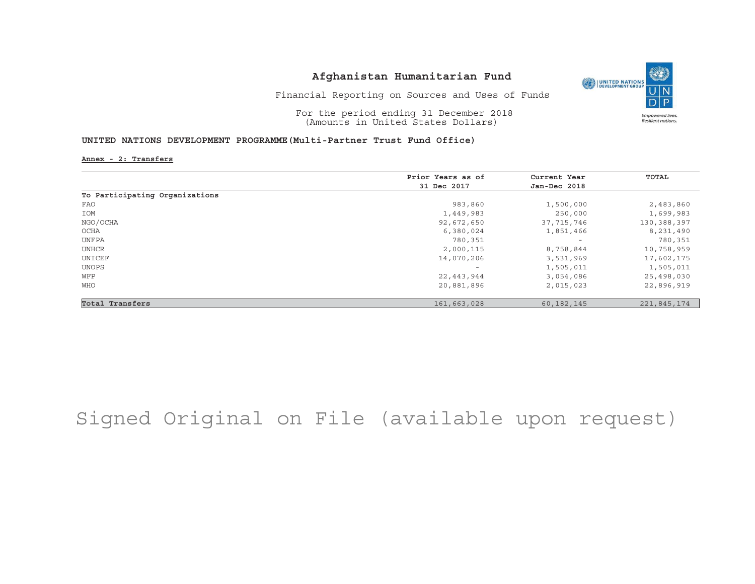

Financial Reporting on Sources and Uses of Funds

For the period ending 31 December 2018 (Amounts in United States Dollars)

#### **UNITED NATIONS DEVELOPMENT PROGRAMME(Multi-Partner Trust Fund Office)**

**Annex - 2: Transfers**

|                                | Prior Years as of | Current Year             | TOTAL       |
|--------------------------------|-------------------|--------------------------|-------------|
|                                | 31 Dec 2017       | Jan-Dec 2018             |             |
| To Participating Organizations |                   |                          |             |
| FAO                            | 983,860           | 1,500,000                | 2,483,860   |
| IOM                            | 1,449,983         | 250,000                  | 1,699,983   |
| NGO/OCHA                       | 92,672,650        | 37, 715, 746             | 130,388,397 |
| OCHA                           | 6,380,024         | 1,851,466                | 8,231,490   |
| UNFPA                          | 780,351           | $\overline{\phantom{a}}$ | 780,351     |
| UNHCR                          | 2,000,115         | 8,758,844                | 10,758,959  |
| UNICEF                         | 14,070,206        | 3,531,969                | 17,602,175  |
| UNOPS                          | $-$               | 1,505,011                | 1,505,011   |
| WFP                            | 22,443,944        | 3,054,086                | 25,498,030  |
| WHO                            | 20,881,896        | 2,015,023                | 22,896,919  |
| Total Transfers                | 161,663,028       | 60, 182, 145             | 221,845,174 |

## Signed Original on File (available upon request)